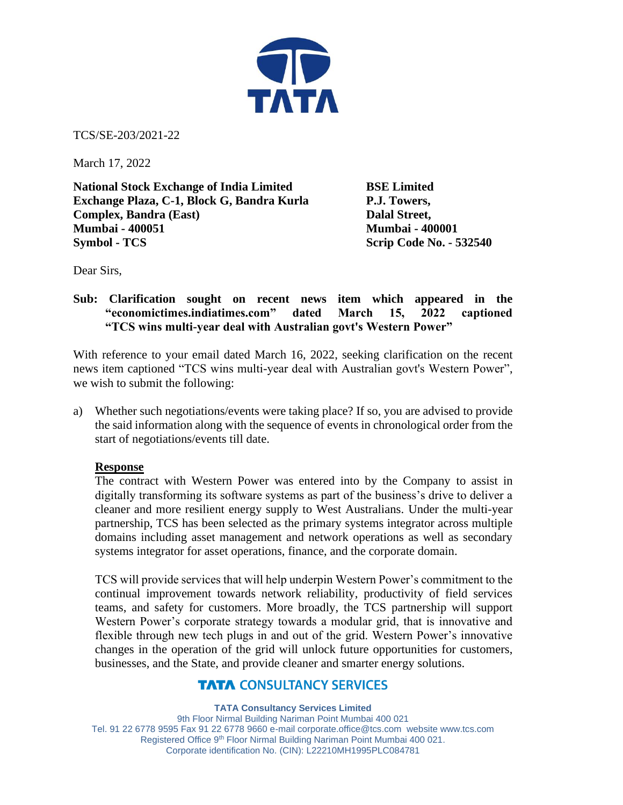

TCS/SE-203/2021-22

March 17, 2022

**National Stock Exchange of India Limited BSE Limited Exchange Plaza, C-1, Block G, Bandra Kurla P.J. Towers, Complex, Bandra (East) Dalal Street, Mumbai - 400051 Mumbai - 400001 Symbol - TCS Scrip Code No. - 532540** 

Dear Sirs,

## **Sub: Clarification sought on recent news item which appeared in the "economictimes.indiatimes.com" dated March 15, 2022 captioned "TCS wins multi-year deal with Australian govt's Western Power"**

With reference to your email dated March 16, 2022, seeking clarification on the recent news item captioned "TCS wins multi-year deal with Australian govt's Western Power", we wish to submit the following:

a) Whether such negotiations/events were taking place? If so, you are advised to provide the said information along with the sequence of events in chronological order from the start of negotiations/events till date.

## **Response**

The contract with Western Power was entered into by the Company to assist in digitally transforming its software systems as part of the business's drive to deliver a cleaner and more resilient energy supply to West Australians. Under the multi-year partnership, TCS has been selected as the primary systems integrator across multiple domains including asset management and network operations as well as secondary systems integrator for asset operations, finance, and the corporate domain.

TCS will provide services that will help underpin Western Power's commitment to the continual improvement towards network reliability, productivity of field services teams, and safety for customers. More broadly, the TCS partnership will support Western Power's corporate strategy towards a modular grid, that is innovative and flexible through new tech plugs in and out of the grid. Western Power's innovative changes in the operation of the grid will unlock future opportunities for customers, businesses, and the State, and provide cleaner and smarter energy solutions.

# **TATA CONSULTANCY SERVICES**

#### **TATA Consultancy Services Limited**

9th Floor Nirmal Building Nariman Point Mumbai 400 021 Tel. 91 22 6778 9595 Fax 91 22 6778 9660 e-mai[l corporate.office@tcs.com](mailto:corporate.office@tcs.com) website www.tcs.com Registered Office 9<sup>th</sup> Floor Nirmal Building Nariman Point Mumbai 400 021. Corporate identification No. (CIN): L22210MH1995PLC084781